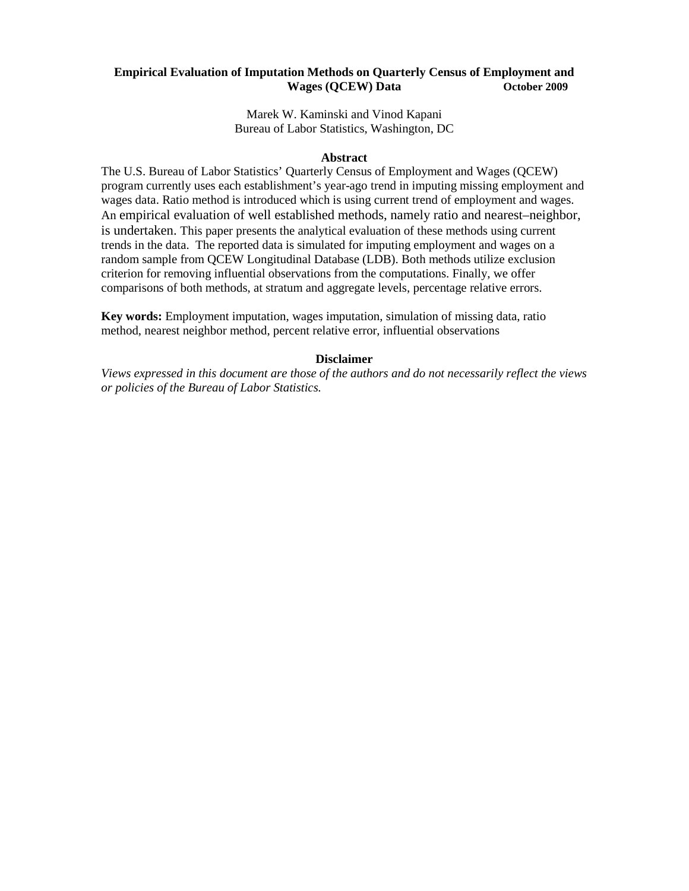# **Empirical Evaluation of Imputation Methods on Quarterly Census of Employment and Wages (QCEW) Data October 2009**

Marek W. Kaminski and Vinod Kapani Bureau of Labor Statistics, Washington, DC

### **Abstract**

The U.S. Bureau of Labor Statistics' Quarterly Census of Employment and Wages (QCEW) program currently uses each establishment's year-ago trend in imputing missing employment and wages data. Ratio method is introduced which is using current trend of employment and wages. An empirical evaluation of well established methods, namely ratio and nearest–neighbor, is undertaken. This paper presents the analytical evaluation of these methods using current trends in the data. The reported data is simulated for imputing employment and wages on a random sample from QCEW Longitudinal Database (LDB). Both methods utilize exclusion criterion for removing influential observations from the computations. Finally, we offer comparisons of both methods, at stratum and aggregate levels, percentage relative errors.

**Key words:** Employment imputation, wages imputation, simulation of missing data, ratio method, nearest neighbor method, percent relative error, influential observations

## **Disclaimer**

*Views expressed in this document are those of the authors and do not necessarily reflect the views or policies of the Bureau of Labor Statistics.*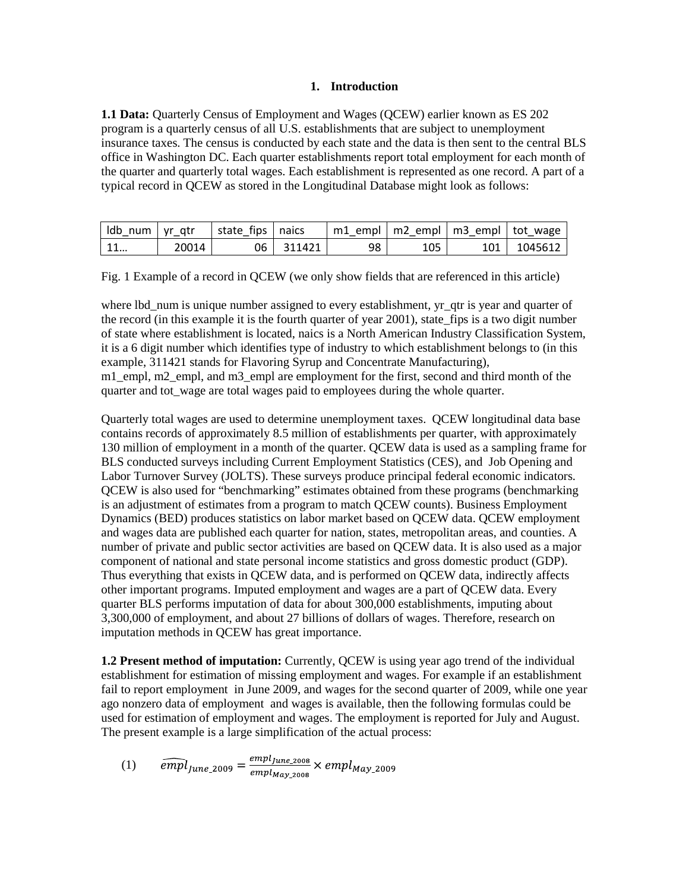# **1. Introduction**

**1.1 Data:** Quarterly Census of Employment and Wages (QCEW) earlier known as ES 202 program is a quarterly census of all U.S. establishments that are subject to unemployment insurance taxes. The census is conducted by each state and the data is then sent to the central BLS office in Washington DC. Each quarter establishments report total employment for each month of the quarter and quarterly total wages. Each establishment is represented as one record. A part of a typical record in QCEW as stored in the Longitudinal Database might look as follows:

| Idb num   yr gtr |       | state fips   naics |        |    | $m1$ empl   m2 empl   m3 empl   tot wage |     |         |
|------------------|-------|--------------------|--------|----|------------------------------------------|-----|---------|
|                  | 20014 | 06 I               | 311421 | 98 | 105                                      | 101 | 1045612 |

Fig. 1 Example of a record in QCEW (we only show fields that are referenced in this article)

where lbd num is unique number assigned to every establishment, yr qtr is year and quarter of the record (in this example it is the fourth quarter of year 2001), state\_fips is a two digit number of state where establishment is located, naics is a North American Industry Classification System, it is a 6 digit number which identifies type of industry to which establishment belongs to (in this example, 311421 stands for Flavoring Syrup and Concentrate Manufacturing), m1 empl, m2 empl, and m3 empl are employment for the first, second and third month of the quarter and tot wage are total wages paid to employees during the whole quarter.

Quarterly total wages are used to determine unemployment taxes. QCEW longitudinal data base contains records of approximately 8.5 million of establishments per quarter, with approximately 130 million of employment in a month of the quarter. QCEW data is used as a sampling frame for BLS conducted surveys including Current Employment Statistics (CES), and Job Opening and Labor Turnover Survey (JOLTS). These surveys produce principal federal economic indicators. QCEW is also used for "benchmarking" estimates obtained from these programs (benchmarking is an adjustment of estimates from a program to match QCEW counts). Business Employment Dynamics (BED) produces statistics on labor market based on QCEW data. QCEW employment and wages data are published each quarter for nation, states, metropolitan areas, and counties. A number of private and public sector activities are based on QCEW data. It is also used as a major component of national and state personal income statistics and gross domestic product (GDP). Thus everything that exists in QCEW data, and is performed on QCEW data, indirectly affects other important programs. Imputed employment and wages are a part of QCEW data. Every quarter BLS performs imputation of data for about 300,000 establishments, imputing about 3,300,000 of employment, and about 27 billions of dollars of wages. Therefore, research on imputation methods in QCEW has great importance.

**1.2 Present method of imputation:** Currently, QCEW is using year ago trend of the individual establishment for estimation of missing employment and wages. For example if an establishment fail to report employment in June 2009, and wages for the second quarter of 2009, while one year ago nonzero data of employment and wages is available, then the following formulas could be used for estimation of employment and wages. The employment is reported for July and August. The present example is a large simplification of the actual process:

$$
(1) \qquad \widehat{empl}_{June\_2009} = \frac{empl_{June\_2008}}{empl_{May\_2008}} \times empl_{May\_2009}
$$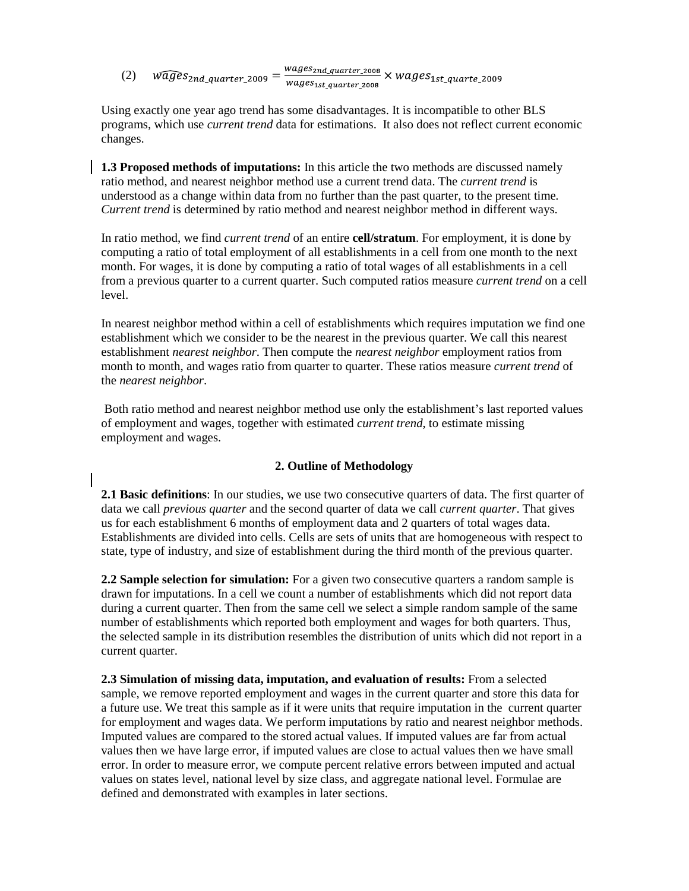$\widehat{wagges_{2nd\_quarter\_2009}} = \frac{wages_{2nd\_quarter\_2008}}{wages_{1st\_quarter\_2008}} \times wages_{1st\_quarter\_2009}$ (2)

Using exactly one year ago trend has some disadvantages. It is incompatible to other BLS programs, which use *current trend* data for estimations. It also does not reflect current economic changes.

**1.3 Proposed methods of imputations:** In this article the two methods are discussed namely ratio method, and nearest neighbor method use a current trend data. The *current trend* is understood as a change within data from no further than the past quarter, to the present time. *Current trend* is determined by ratio method and nearest neighbor method in different ways.

In ratio method, we find *current trend* of an entire **cell/stratum**. For employment, it is done by computing a ratio of total employment of all establishments in a cell from one month to the next month. For wages, it is done by computing a ratio of total wages of all establishments in a cell from a previous quarter to a current quarter. Such computed ratios measure *current trend* on a cell level.

In nearest neighbor method within a cell of establishments which requires imputation we find one establishment which we consider to be the nearest in the previous quarter. We call this nearest establishment *nearest neighbor*. Then compute the *nearest neighbor* employment ratios from month to month, and wages ratio from quarter to quarter. These ratios measure *current trend* of the *nearest neighbor*.

 Both ratio method and nearest neighbor method use only the establishment's last reported values of employment and wages, together with estimated *current trend*, to estimate missing employment and wages.

# **2. Outline of Methodology**

**2.1 Basic definitions**: In our studies, we use two consecutive quarters of data. The first quarter of data we call *previous quarter* and the second quarter of data we call *current quarter*. That gives us for each establishment 6 months of employment data and 2 quarters of total wages data. Establishments are divided into cells. Cells are sets of units that are homogeneous with respect to state, type of industry, and size of establishment during the third month of the previous quarter.

**2.2 Sample selection for simulation:** For a given two consecutive quarters a random sample is drawn for imputations. In a cell we count a number of establishments which did not report data during a current quarter. Then from the same cell we select a simple random sample of the same number of establishments which reported both employment and wages for both quarters. Thus, the selected sample in its distribution resembles the distribution of units which did not report in a current quarter.

**2.3 Simulation of missing data, imputation, and evaluation of results:** From a selected sample, we remove reported employment and wages in the current quarter and store this data for a future use. We treat this sample as if it were units that require imputation in the current quarter for employment and wages data. We perform imputations by ratio and nearest neighbor methods. Imputed values are compared to the stored actual values. If imputed values are far from actual values then we have large error, if imputed values are close to actual values then we have small error. In order to measure error, we compute percent relative errors between imputed and actual values on states level, national level by size class, and aggregate national level. Formulae are defined and demonstrated with examples in later sections.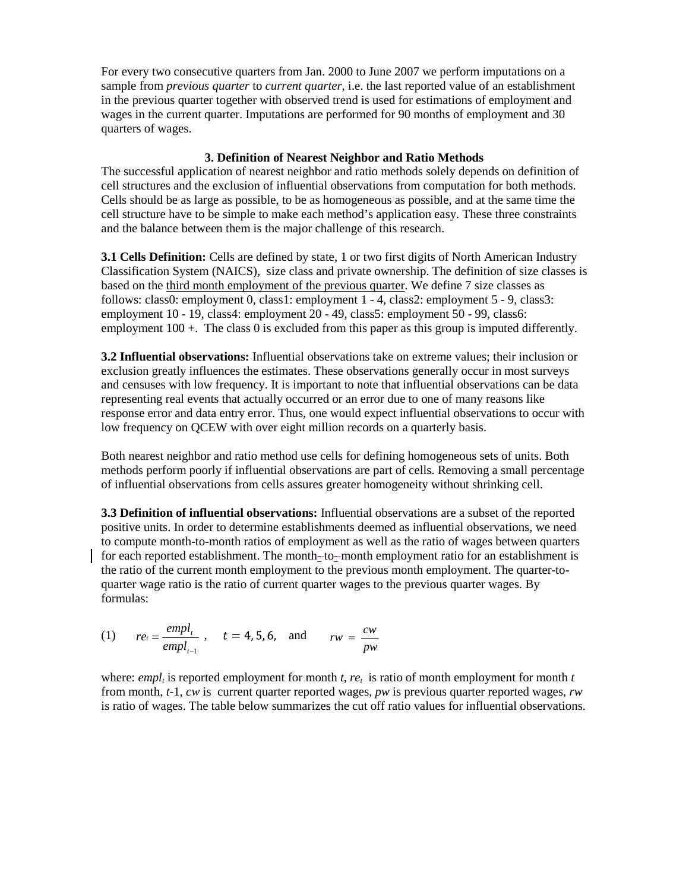For every two consecutive quarters from Jan. 2000 to June 2007 we perform imputations on a sample from *previous quarter* to *current quarter*, i.e. the last reported value of an establishment in the previous quarter together with observed trend is used for estimations of employment and wages in the current quarter. Imputations are performed for 90 months of employment and 30 quarters of wages.

## **3. Definition of Nearest Neighbor and Ratio Methods**

The successful application of nearest neighbor and ratio methods solely depends on definition of cell structures and the exclusion of influential observations from computation for both methods. Cells should be as large as possible, to be as homogeneous as possible, and at the same time the cell structure have to be simple to make each method's application easy. These three constraints and the balance between them is the major challenge of this research.

**3.1 Cells Definition:** Cells are defined by state, 1 or two first digits of North American Industry Classification System (NAICS), size class and private ownership. The definition of size classes is based on the third month employment of the previous quarter. We define 7 size classes as follows: class0: employment 0, class1: employment 1 - 4, class2: employment 5 - 9, class3: employment 10 - 19, class4: employment 20 - 49, class5: employment 50 - 99, class6: employment  $100 +$ . The class 0 is excluded from this paper as this group is imputed differently.

**3.2 Influential observations:** Influential observations take on extreme values; their inclusion or exclusion greatly influences the estimates. These observations generally occur in most surveys and censuses with low frequency. It is important to note that influential observations can be data representing real events that actually occurred or an error due to one of many reasons like response error and data entry error. Thus, one would expect influential observations to occur with low frequency on QCEW with over eight million records on a quarterly basis.

Both nearest neighbor and ratio method use cells for defining homogeneous sets of units. Both methods perform poorly if influential observations are part of cells. Removing a small percentage of influential observations from cells assures greater homogeneity without shrinking cell.

**3.3 Definition of influential observations:** Influential observations are a subset of the reported positive units. In order to determine establishments deemed as influential observations, we need to compute month-to-month ratios of employment as well as the ratio of wages between quarters for each reported establishment. The month-to--month employment ratio for an establishment is the ratio of the current month employment to the previous month employment. The quarter-toquarter wage ratio is the ratio of current quarter wages to the previous quarter wages. By formulas:

(1) 
$$
re_t = \frac{empl_t}{empl_{t-1}}
$$
,  $t = 4, 5, 6$ , and  $rw = \frac{cw}{pw}$ 

where: *empl<sub>t</sub>* is reported employment for month  $t$ ,  $re_t$  is ratio of month employment for month  $t$ from month, *t*-1, *cw* is current quarter reported wages, *pw* is previous quarter reported wages, *rw* is ratio of wages. The table below summarizes the cut off ratio values for influential observations.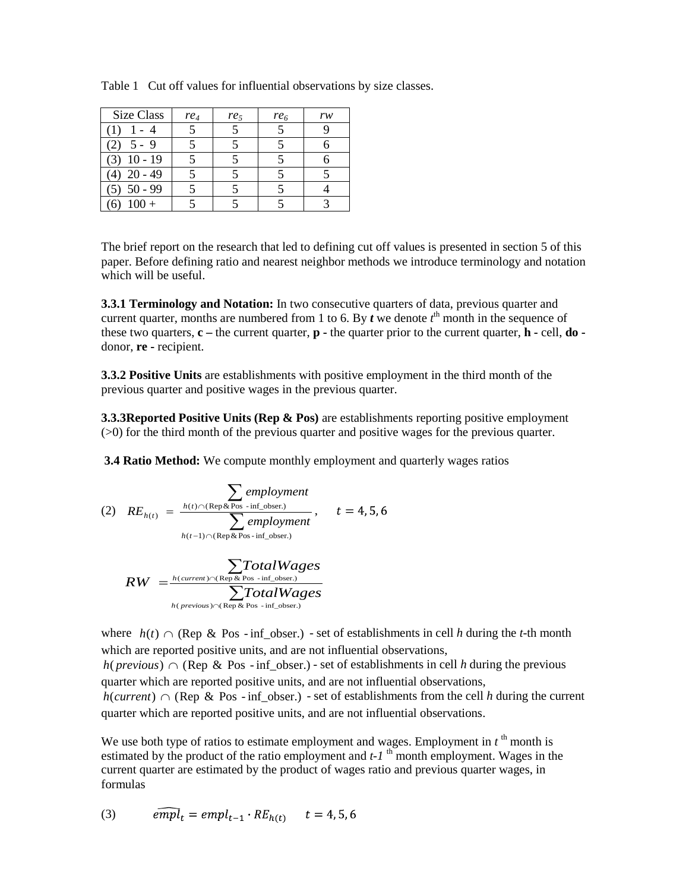| Size Class       | re <sub>4</sub> | re <sub>5</sub> | re <sub>6</sub> | rw |
|------------------|-----------------|-----------------|-----------------|----|
|                  |                 |                 |                 |    |
| 5 - 9<br>(2)     |                 |                 |                 |    |
| $(3)$ 10 - 19    |                 |                 |                 |    |
| $20 - 49$<br>(4) |                 |                 |                 |    |
| $(5)$ 50 - 99    |                 |                 |                 |    |
| $100 +$          |                 |                 |                 |    |

Table 1 Cut off values for influential observations by size classes.

The brief report on the research that led to defining cut off values is presented in section 5 of this paper. Before defining ratio and nearest neighbor methods we introduce terminology and notation which will be useful.

**3.3.1 Terminology and Notation:** In two consecutive quarters of data, previous quarter and current quarter, months are numbered from 1 to 6. By  $t \overline{t}$  we denote  $t^{\text{th}}$  month in the sequence of these two quarters, **c –** the current quarter, **p -** the quarter prior to the current quarter, **h -** cell, **do**  donor, **re -** recipient.

**3.3.2 Positive Units** are establishments with positive employment in the third month of the previous quarter and positive wages in the previous quarter.

**3.3.3 Reported Positive Units (Rep & Pos)** are establishments reporting positive employment (>0) for the third month of the previous quarter and positive wages for the previous quarter.

 **3.4 Ratio Method:** We compute monthly employment and quarterly wages ratios

(2) 
$$
RE_{h(t)} = \frac{\sum_{h(t) \cap (\text{Rep\&Pos-inf\_observ})}employment}{\sum_{h(t-1) \cap (\text{Rep\&Pos-inf\_observ})} \sum_{v \text{ } s \in \text{Rep.}} t = 4, 5, 6
$$

$$
RW = \frac{\sum TotalWages}{\sum TotalWages_{h(\text{previous})} \land (\text{Rep} \& \text{Pos-in} \text{__obser.})}{\sum TotalWages_{h(\text{previous})} \land (\text{Rep} \& \text{Pos-in} \text{__obser.})}}
$$

where  $h(t) \cap (\text{Rep } \& \text{Pos - inf } \text{observ.})$  - set of establishments in cell *h* during the *t*-th month which are reported positive units, and are not influential observations,  $h(\text{previous}) \cap (\text{Rep } \& \text{Pos - inf\_observ.)}$  - set of establishments in cell *h* during the previous quarter which are reported positive units, and are not influential observations,  $h(current)$  ∩ (Rep & Pos - inf\_obser.) - set of establishments from the cell *h* during the current quarter which are reported positive units, and are not influential observations.

We use both type of ratios to estimate employment and wages. Employment in  $t<sup>th</sup>$  month is estimated by the product of the ratio employment and  $t-1$ <sup>th</sup> month employment. Wages in the current quarter are estimated by the product of wages ratio and previous quarter wages, in formulas

$$
(3) \qquad \overrightarrow{empl}_t = empl_{t-1} \cdot RE_{h(t)} \qquad t = 4, 5, 6
$$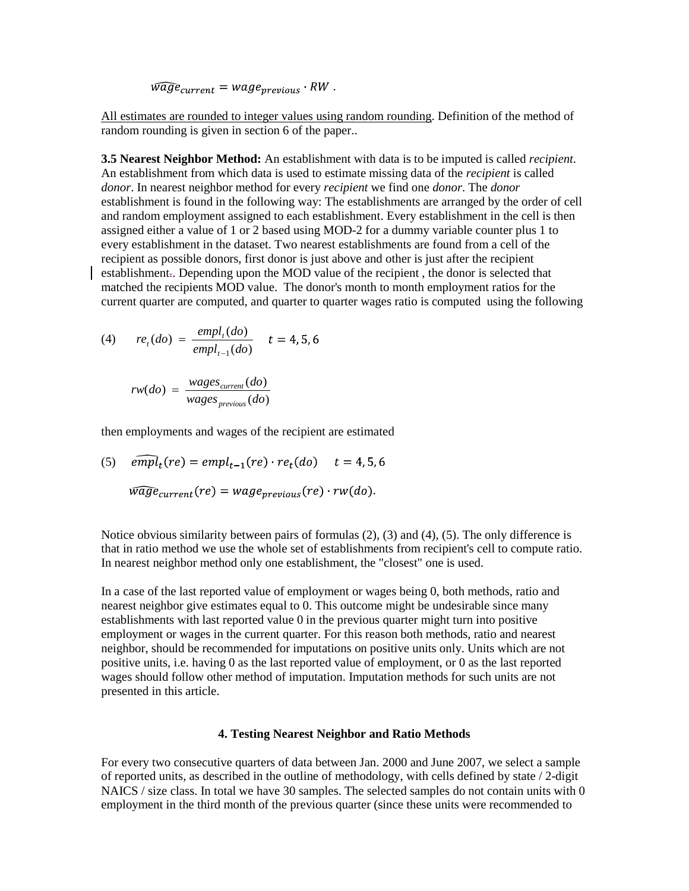$\widehat{wage}_{current} = wage_{previous} \cdot RW$ .

All estimates are rounded to integer values using random rounding. Definition of the method of random rounding is given in section 6 of the paper..

**3.5 Nearest Neighbor Method:** An establishment with data is to be imputed is called *recipient*. An establishment from which data is used to estimate missing data of the *recipient* is called *donor*. In nearest neighbor method for every *recipient* we find one *donor*. The *donor* establishment is found in the following way: The establishments are arranged by the order of cell and random employment assigned to each establishment. Every establishment in the cell is then assigned either a value of 1 or 2 based using MOD-2 for a dummy variable counter plus 1 to every establishment in the dataset. Two nearest establishments are found from a cell of the recipient as possible donors, first donor is just above and other is just after the recipient establishment.. Depending upon the MOD value of the recipient , the donor is selected that matched the recipients MOD value. The donor's month to month employment ratios for the current quarter are computed, and quarter to quarter wages ratio is computed using the following

(4) 
$$
re_t(do) = \frac{empl_t(do)}{empl_{t-1}(do)} \quad t = 4, 5, 6
$$

$$
rw(do) = \frac{wages_{current}(do)}{wages_{previous}(do)}
$$

then employments and wages of the recipient are estimated

(5) 
$$
\widehat{empl}_t(re) = emb_{t-1}(re) \cdot re_t(do) \quad t = 4, 5, 6
$$
  
 $\widehat{wage}_{current}(re) = wage_{previous}(re) \cdot rw(do).$ 

Notice obvious similarity between pairs of formulas (2), (3) and (4), (5). The only difference is that in ratio method we use the whole set of establishments from recipient's cell to compute ratio. In nearest neighbor method only one establishment, the "closest" one is used.

In a case of the last reported value of employment or wages being 0, both methods, ratio and nearest neighbor give estimates equal to 0. This outcome might be undesirable since many establishments with last reported value 0 in the previous quarter might turn into positive employment or wages in the current quarter. For this reason both methods, ratio and nearest neighbor, should be recommended for imputations on positive units only. Units which are not positive units, i.e. having 0 as the last reported value of employment, or 0 as the last reported wages should follow other method of imputation. Imputation methods for such units are not presented in this article.

### **4. Testing Nearest Neighbor and Ratio Methods**

For every two consecutive quarters of data between Jan. 2000 and June 2007, we select a sample of reported units, as described in the outline of methodology, with cells defined by state / 2-digit NAICS / size class. In total we have 30 samples. The selected samples do not contain units with 0 employment in the third month of the previous quarter (since these units were recommended to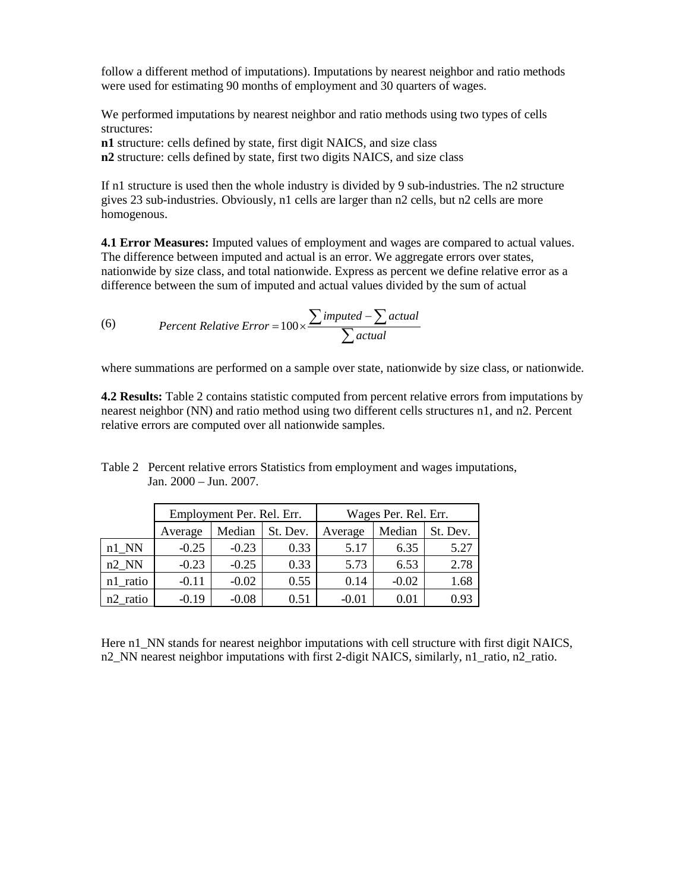follow a different method of imputations). Imputations by nearest neighbor and ratio methods were used for estimating 90 months of employment and 30 quarters of wages.

We performed imputations by nearest neighbor and ratio methods using two types of cells structures:

**n1** structure: cells defined by state, first digit NAICS, and size class

**n2** structure: cells defined by state, first two digits NAICS, and size class

If n1 structure is used then the whole industry is divided by 9 sub-industries. The n2 structure gives 23 sub-industries. Obviously, n1 cells are larger than n2 cells, but n2 cells are more homogenous.

**4.1 Error Measures:** Imputed values of employment and wages are compared to actual values. The difference between imputed and actual is an error. We aggregate errors over states, nationwide by size class, and total nationwide. Express as percent we define relative error as a difference between the sum of imputed and actual values divided by the sum of actual

(6) *Percent Relative Error* = 
$$
100 \times \frac{\sum imputed - \sum actual}{\sum actual}
$$

where summations are performed on a sample over state, nationwide by size class, or nationwide.

**4.2 Results:** Table 2 contains statistic computed from percent relative errors from imputations by nearest neighbor (NN) and ratio method using two different cells structures n1, and n2. Percent relative errors are computed over all nationwide samples.

|         | Employment Per. Rel. Err. |                 | Wages Per. Rel. Err.        |  |  |  |
|---------|---------------------------|-----------------|-----------------------------|--|--|--|
| Average |                           | Median St. Dev. | Average   Median   St. Dev. |  |  |  |
|         |                           |                 |                             |  |  |  |

n2\_NN | -0.23 | -0.25 | 0.33 | 5.73 | 6.53 | 2.78 n1\_ratio -0.11 -0.02 0.55 0.14 -0.02 1.68  $n2$ \_ratio  $-0.19$   $-0.08$   $0.51$   $-0.01$   $0.01$  0.93

Table 2 Percent relative errors Statistics from employment and wages imputations, Jan. 2000 – Jun. 2007.

Here n1\_NN stands for nearest neighbor imputations with cell structure with first digit NAICS, n2\_NN nearest neighbor imputations with first 2-digit NAICS, similarly, n1\_ratio, n2\_ratio.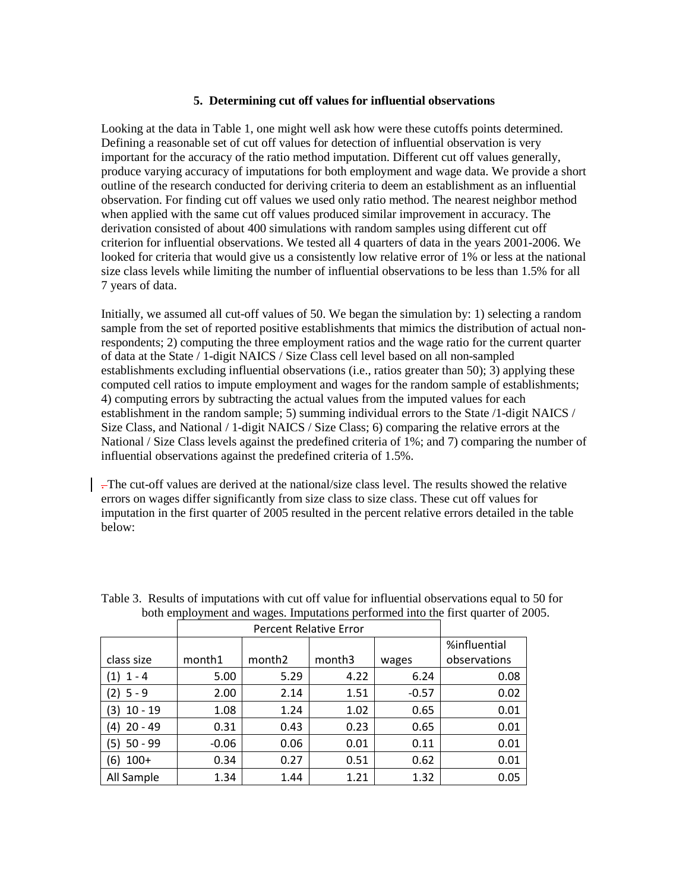## **5. Determining cut off values for influential observations**

Looking at the data in Table 1, one might well ask how were these cutoffs points determined. Defining a reasonable set of cut off values for detection of influential observation is very important for the accuracy of the ratio method imputation. Different cut off values generally, produce varying accuracy of imputations for both employment and wage data. We provide a short outline of the research conducted for deriving criteria to deem an establishment as an influential observation. For finding cut off values we used only ratio method. The nearest neighbor method when applied with the same cut off values produced similar improvement in accuracy. The derivation consisted of about 400 simulations with random samples using different cut off criterion for influential observations. We tested all 4 quarters of data in the years 2001-2006. We looked for criteria that would give us a consistently low relative error of 1% or less at the national size class levels while limiting the number of influential observations to be less than 1.5% for all 7 years of data.

Initially, we assumed all cut-off values of 50. We began the simulation by: 1) selecting a random sample from the set of reported positive establishments that mimics the distribution of actual nonrespondents; 2) computing the three employment ratios and the wage ratio for the current quarter of data at the State / 1-digit NAICS / Size Class cell level based on all non-sampled establishments excluding influential observations (i.e., ratios greater than 50); 3) applying these computed cell ratios to impute employment and wages for the random sample of establishments; 4) computing errors by subtracting the actual values from the imputed values for each establishment in the random sample; 5) summing individual errors to the State /1-digit NAICS / Size Class, and National / 1-digit NAICS / Size Class; 6) comparing the relative errors at the National / Size Class levels against the predefined criteria of 1%; and 7) comparing the number of influential observations against the predefined criteria of 1.5%.

. The cut-off values are derived at the national/size class level. The results showed the relative errors on wages differ significantly from size class to size class. These cut off values for imputation in the first quarter of 2005 resulted in the percent relative errors detailed in the table below:

|                  |         |                    |        |         | %influential |
|------------------|---------|--------------------|--------|---------|--------------|
| class size       | month1  | month <sub>2</sub> | month3 | wages   | observations |
| $(1) 1 - 4$      | 5.00    | 5.29               | 4.22   | 6.24    | 0.08         |
| $(2) 5 - 9$      | 2.00    | 2.14               | 1.51   | $-0.57$ | 0.02         |
| $10 - 19$<br>3)  | 1.08    | 1.24               | 1.02   | 0.65    | 0.01         |
| $20 - 49$<br>(4) | 0.31    | 0.43               | 0.23   | 0.65    | 0.01         |
| $(5)$ 50 - 99    | $-0.06$ | 0.06               | 0.01   | 0.11    | 0.01         |
| (6)<br>$100+$    | 0.34    | 0.27               | 0.51   | 0.62    | 0.01         |
| All Sample       | 1.34    | 1.44               | 1.21   | 1.32    | 0.05         |

Table 3. Results of imputations with cut off value for influential observations equal to 50 for both employment and wages. Imputations performed into the first quarter of 2005.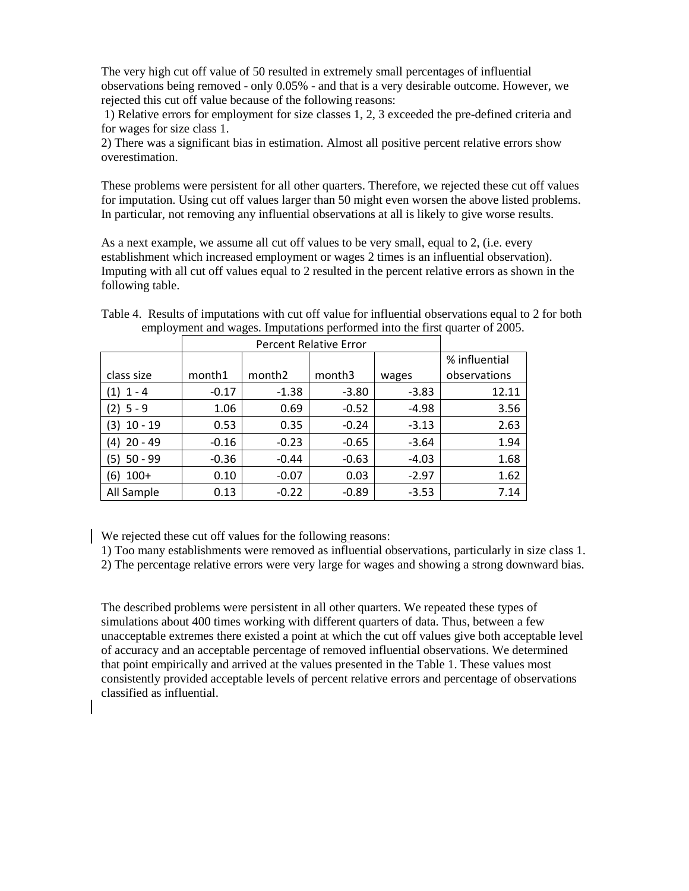The very high cut off value of 50 resulted in extremely small percentages of influential observations being removed - only 0.05% - and that is a very desirable outcome. However, we rejected this cut off value because of the following reasons:

1) Relative errors for employment for size classes 1, 2, 3 exceeded the pre-defined criteria and for wages for size class 1.

2) There was a significant bias in estimation. Almost all positive percent relative errors show overestimation.

These problems were persistent for all other quarters. Therefore, we rejected these cut off values for imputation. Using cut off values larger than 50 might even worsen the above listed problems. In particular, not removing any influential observations at all is likely to give worse results.

As a next example, we assume all cut off values to be very small, equal to 2, (i.e. every establishment which increased employment or wages 2 times is an influential observation). Imputing with all cut off values equal to 2 resulted in the percent relative errors as shown in the following table.

|                  |         |                    |         |         | % influential |
|------------------|---------|--------------------|---------|---------|---------------|
| class size       | month1  | month <sub>2</sub> | month3  | wages   | observations  |
| (1) 1 - 4        | $-0.17$ | $-1.38$            | $-3.80$ | $-3.83$ | 12.11         |
| $(2) 5 - 9$      | 1.06    | 0.69               | $-0.52$ | -4.98   | 3.56          |
| $10 - 19$<br>(3) | 0.53    | 0.35               | $-0.24$ | $-3.13$ | 2.63          |
| $20 - 49$<br>(4) | $-0.16$ | $-0.23$            | $-0.65$ | $-3.64$ | 1.94          |
| $50 - 99$<br>(5) | $-0.36$ | $-0.44$            | $-0.63$ | $-4.03$ | 1.68          |
| (6) 100+         | 0.10    | $-0.07$            | 0.03    | $-2.97$ | 1.62          |
| All Sample       | 0.13    | $-0.22$            | $-0.89$ | $-3.53$ | 7.14          |

Table 4. Results of imputations with cut off value for influential observations equal to 2 for both employment and wages. Imputations performed into the first quarter of 2005.

We rejected these cut off values for the following reasons:

1) Too many establishments were removed as influential observations, particularly in size class 1.

2) The percentage relative errors were very large for wages and showing a strong downward bias.

The described problems were persistent in all other quarters. We repeated these types of simulations about 400 times working with different quarters of data. Thus, between a few unacceptable extremes there existed a point at which the cut off values give both acceptable level of accuracy and an acceptable percentage of removed influential observations. We determined that point empirically and arrived at the values presented in the Table 1. These values most consistently provided acceptable levels of percent relative errors and percentage of observations classified as influential.